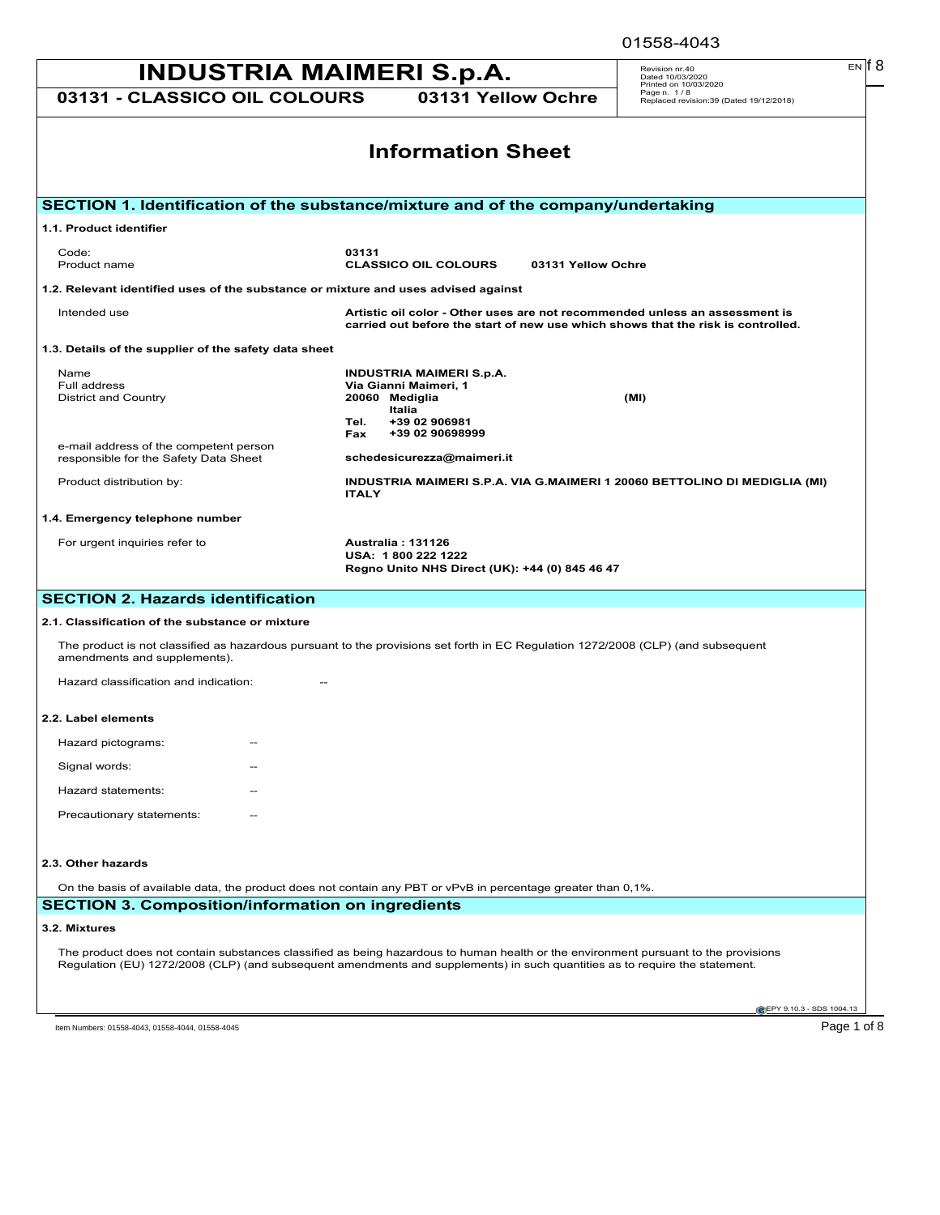|                                                                                                                                                                                                                                                                    |                                                                                                               |                    | 01558-4043                                                                       |
|--------------------------------------------------------------------------------------------------------------------------------------------------------------------------------------------------------------------------------------------------------------------|---------------------------------------------------------------------------------------------------------------|--------------------|----------------------------------------------------------------------------------|
| INDUSTRIA MAIMERI S.p.A.                                                                                                                                                                                                                                           |                                                                                                               |                    | EN IT 8<br>Revision nr.40<br>Dated 10/03/2020                                    |
| 03131 - CLASSICO OIL COLOURS                                                                                                                                                                                                                                       | 03131 Yellow Ochre                                                                                            |                    | Printed on 10/03/2020<br>Page n. 1/8<br>Replaced revision:39 (Dated 19/12/2018)  |
|                                                                                                                                                                                                                                                                    | <b>Information Sheet</b>                                                                                      |                    |                                                                                  |
| SECTION 1. Identification of the substance/mixture and of the company/undertaking                                                                                                                                                                                  |                                                                                                               |                    |                                                                                  |
| 1.1. Product identifier                                                                                                                                                                                                                                            |                                                                                                               |                    |                                                                                  |
| Code:<br>Product name                                                                                                                                                                                                                                              | 03131<br><b>CLASSICO OIL COLOURS</b>                                                                          | 03131 Yellow Ochre |                                                                                  |
| 1.2. Relevant identified uses of the substance or mixture and uses advised against                                                                                                                                                                                 |                                                                                                               |                    |                                                                                  |
| Intended use                                                                                                                                                                                                                                                       | Artistic oil color - Other uses are not recommended unless an assessment is                                   |                    | carried out before the start of new use which shows that the risk is controlled. |
| 1.3. Details of the supplier of the safety data sheet                                                                                                                                                                                                              |                                                                                                               |                    |                                                                                  |
| Name<br>Full address<br><b>District and Country</b>                                                                                                                                                                                                                | <b>INDUSTRIA MAIMERI S.p.A.</b><br>Via Gianni Maimeri, 1<br>20060 Mediglia<br>Italia<br>+39 02 906981<br>Tel. |                    | (MI)                                                                             |
| e-mail address of the competent person<br>responsible for the Safety Data Sheet                                                                                                                                                                                    | +39 02 90698999<br>Fax<br>schedesicurezza@maimeri.it                                                          |                    |                                                                                  |
| Product distribution by:                                                                                                                                                                                                                                           | <b>ITALY</b>                                                                                                  |                    | INDUSTRIA MAIMERI S.P.A. VIA G.MAIMERI 1 20060 BETTOLINO DI MEDIGLIA (MI)        |
| 1.4. Emergency telephone number                                                                                                                                                                                                                                    |                                                                                                               |                    |                                                                                  |
| For urgent inquiries refer to                                                                                                                                                                                                                                      | Australia: 131126<br>USA: 1800 222 1222<br>Regno Unito NHS Direct (UK): +44 (0) 845 46 47                     |                    |                                                                                  |
| <b>SECTION 2. Hazards identification</b>                                                                                                                                                                                                                           |                                                                                                               |                    |                                                                                  |
| 2.1. Classification of the substance or mixture                                                                                                                                                                                                                    |                                                                                                               |                    |                                                                                  |
| The product is not classified as hazardous pursuant to the provisions set forth in EC Regulation 1272/2008 (CLP) (and subsequent<br>amendments and supplements).                                                                                                   |                                                                                                               |                    |                                                                                  |
| Hazard classification and indication:                                                                                                                                                                                                                              |                                                                                                               |                    |                                                                                  |
| 2.2. Label elements                                                                                                                                                                                                                                                |                                                                                                               |                    |                                                                                  |
| Hazard pictograms:                                                                                                                                                                                                                                                 |                                                                                                               |                    |                                                                                  |
| Signal words:                                                                                                                                                                                                                                                      |                                                                                                               |                    |                                                                                  |
| Hazard statements:                                                                                                                                                                                                                                                 |                                                                                                               |                    |                                                                                  |
| Precautionary statements:                                                                                                                                                                                                                                          |                                                                                                               |                    |                                                                                  |
| 2.3. Other hazards                                                                                                                                                                                                                                                 |                                                                                                               |                    |                                                                                  |
| On the basis of available data, the product does not contain any PBT or vPvB in percentage greater than 0,1%.                                                                                                                                                      |                                                                                                               |                    |                                                                                  |
| <b>SECTION 3. Composition/information on ingredients</b>                                                                                                                                                                                                           |                                                                                                               |                    |                                                                                  |
| 3.2. Mixtures                                                                                                                                                                                                                                                      |                                                                                                               |                    |                                                                                  |
| The product does not contain substances classified as being hazardous to human health or the environment pursuant to the provisions<br>Regulation (EU) 1272/2008 (CLP) (and subsequent amendments and supplements) in such quantities as to require the statement. |                                                                                                               |                    |                                                                                  |
|                                                                                                                                                                                                                                                                    |                                                                                                               |                    | EPY 9.10.3 - SDS 1004.13                                                         |
| Item Numbers: 01558-4043, 01558-4044, 01558-4045                                                                                                                                                                                                                   |                                                                                                               |                    | Page 1 of 8                                                                      |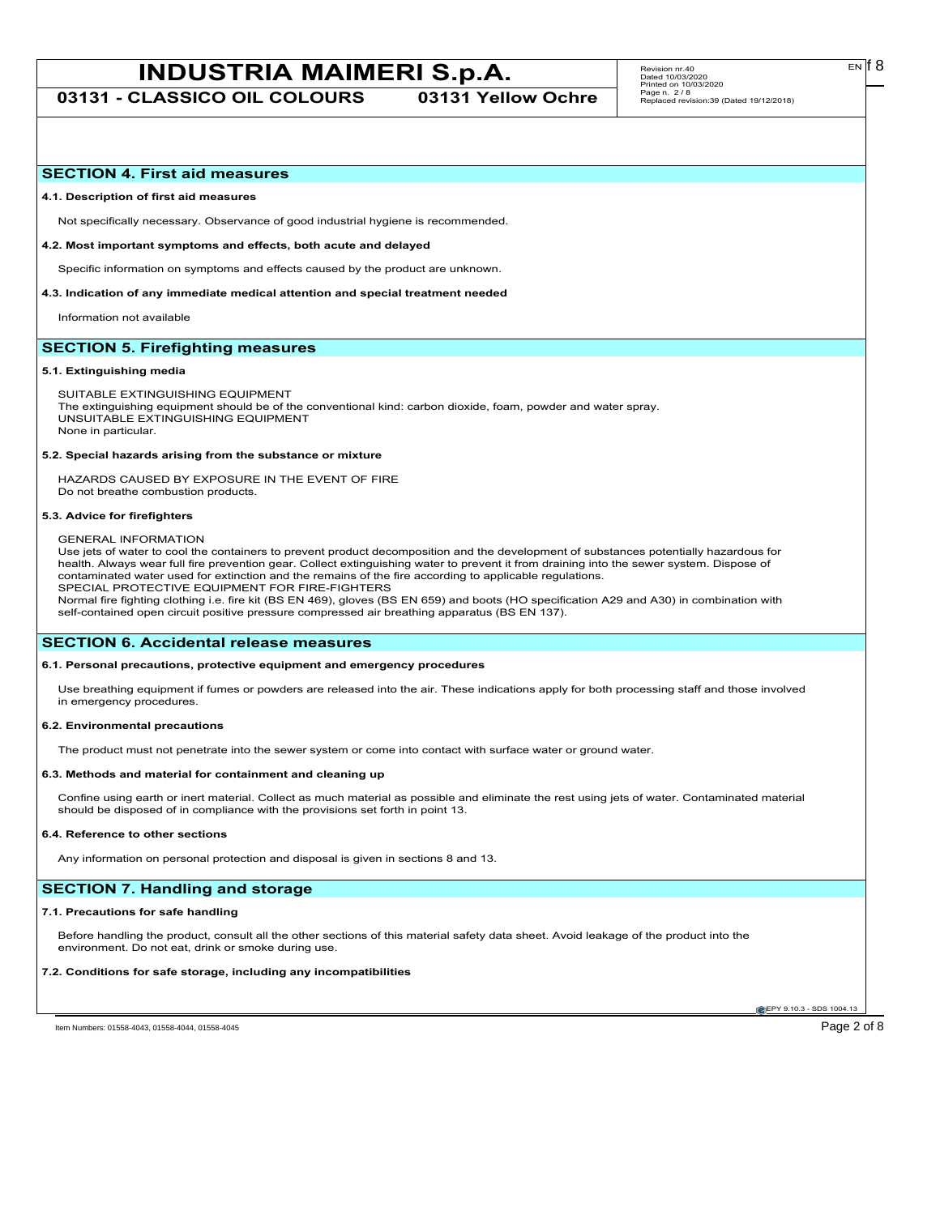**03131 - CLASSICO OIL COLOURS 03131 Yellow Ochre**

### **SECTION 4. First aid measures**

#### **4.1. Description of first aid measures**

Not specifically necessary. Observance of good industrial hygiene is recommended.

**4.2. Most important symptoms and effects, both acute and delayed**

Specific information on symptoms and effects caused by the product are unknown.

**4.3. Indication of any immediate medical attention and special treatment needed**

Information not available

# **SECTION 5. Firefighting measures**

#### **5.1. Extinguishing media**

SUITABLE EXTINGUISHING EQUIPMENT The extinguishing equipment should be of the conventional kind: carbon dioxide, foam, powder and water spray. UNSUITABLE EXTINGUISHING EQUIPMENT None in particular.

#### **5.2. Special hazards arising from the substance or mixture**

HAZARDS CAUSED BY EXPOSURE IN THE EVENT OF FIRE Do not breathe combustion products.

#### **5.3. Advice for firefighters**

GENERAL INFORMATION

Use jets of water to cool the containers to prevent product decomposition and the development of substances potentially hazardous for health. Always wear full fire prevention gear. Collect extinguishing water to prevent it from draining into the sewer system. Dispose of contaminated water used for extinction and the remains of the fire according to applicable regulations. SPECIAL PROTECTIVE EQUIPMENT FOR FIRE-FIGHTERS

Normal fire fighting clothing i.e. fire kit (BS EN 469), gloves (BS EN 659) and boots (HO specification A29 and A30) in combination with self-contained open circuit positive pressure compressed air breathing apparatus (BS EN 137).

# **SECTION 6. Accidental release measures**

#### **6.1. Personal precautions, protective equipment and emergency procedures**

Use breathing equipment if fumes or powders are released into the air. These indications apply for both processing staff and those involved in emergency procedures.

#### **6.2. Environmental precautions**

The product must not penetrate into the sewer system or come into contact with surface water or ground water.

#### **6.3. Methods and material for containment and cleaning up**

Confine using earth or inert material. Collect as much material as possible and eliminate the rest using jets of water. Contaminated material should be disposed of in compliance with the provisions set forth in point 13.

#### **6.4. Reference to other sections**

Any information on personal protection and disposal is given in sections 8 and 13.

# **SECTION 7. Handling and storage**

#### **7.1. Precautions for safe handling**

Before handling the product, consult all the other sections of this material safety data sheet. Avoid leakage of the product into the environment. Do not eat, drink or smoke during use.

#### **7.2. Conditions for safe storage, including any incompatibilities**

**CEPY 9.10.3 - SDS 1004.1** 

Item Numbers: 01558-4043, 01558-4044, 01558-4045<br>
Page 2 of 8

EN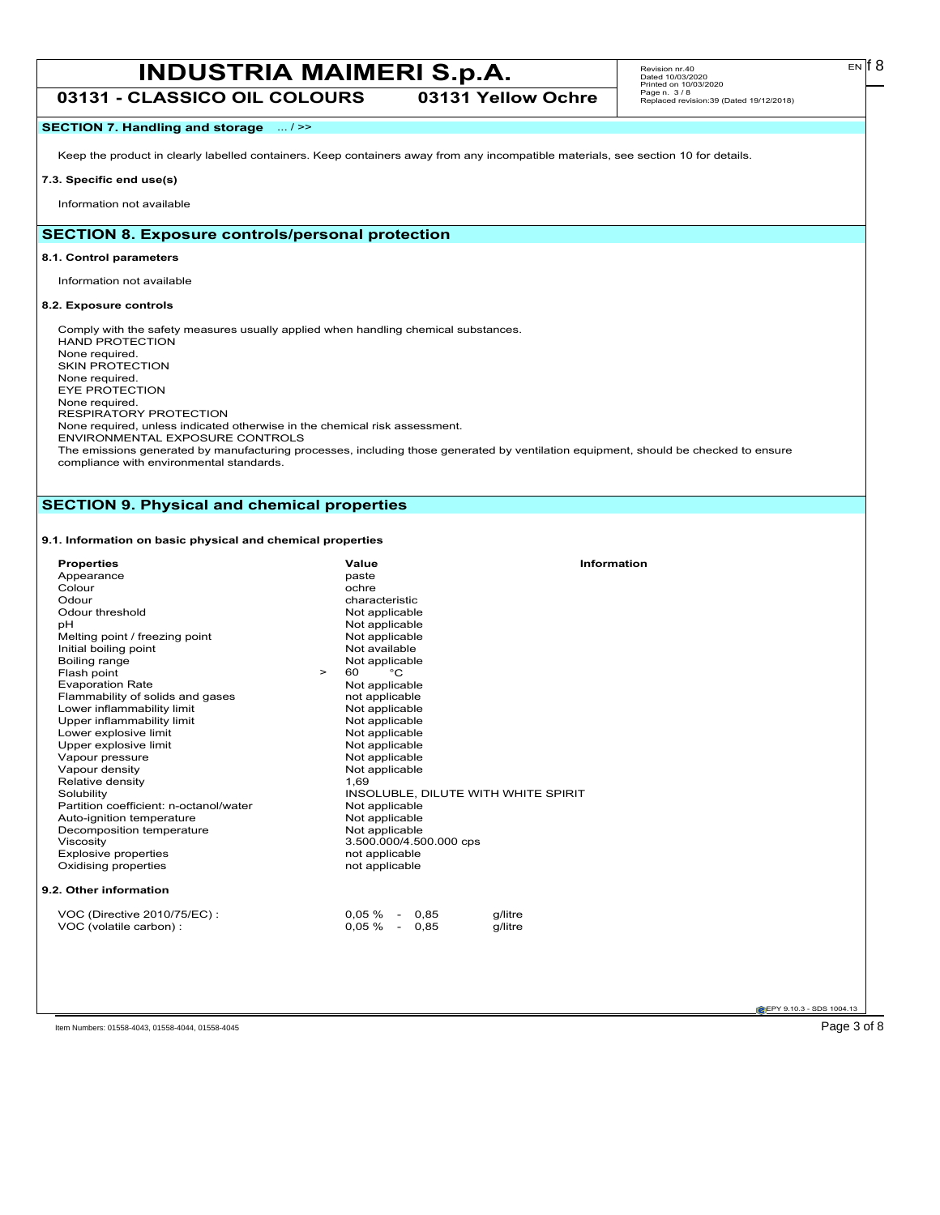**03131 - CLASSICO OIL COLOURS 03131 Yellow Ochre**

# **SECTION 7. Handling and storage** ... / >>

Keep the product in clearly labelled containers. Keep containers away from any incompatible materials, see section 10 for details.

# **7.3. Specific end use(s)**

Information not available

# **SECTION 8. Exposure controls/personal protection**

### **8.1. Control parameters**

Information not available

# **8.2. Exposure controls**

Comply with the safety measures usually applied when handling chemical substances. HAND PROTECTION None required. SKIN PROTECTION None required. EYE PROTECTION None required. RESPIRATORY PROTECTION None required, unless indicated otherwise in the chemical risk assessment. ENVIRONMENTAL EXPOSURE CONTROLS The emissions generated by manufacturing processes, including those generated by ventilation equipment, should be checked to ensure

compliance with environmental standards.

# **SECTION 9. Physical and chemical properties**

# **9.1. Information on basic physical and chemical properties**

| <b>Properties</b>                      | <b>Information</b><br>Value         |
|----------------------------------------|-------------------------------------|
| Appearance                             | paste                               |
| Colour                                 | ochre                               |
| Odour                                  | characteristic                      |
| Odour threshold                        | Not applicable                      |
| pH                                     | Not applicable                      |
| Melting point / freezing point         | Not applicable                      |
| Initial boiling point                  | Not available                       |
| Boiling range                          | Not applicable                      |
| Flash point<br>$\geq$                  | $^{\circ}$ C<br>60                  |
| <b>Evaporation Rate</b>                | Not applicable                      |
| Flammability of solids and gases       | not applicable                      |
| Lower inflammability limit             | Not applicable                      |
| Upper inflammability limit             | Not applicable                      |
| Lower explosive limit                  | Not applicable                      |
| Upper explosive limit                  | Not applicable                      |
| Vapour pressure                        | Not applicable                      |
| Vapour density                         | Not applicable                      |
| Relative density                       | 1,69                                |
| Solubility                             | INSOLUBLE, DILUTE WITH WHITE SPIRIT |
| Partition coefficient: n-octanol/water | Not applicable                      |
| Auto-ignition temperature              | Not applicable                      |
| Decomposition temperature              | Not applicable                      |
| Viscosity                              | 3.500.000/4.500.000 cps             |
| <b>Explosive properties</b>            | not applicable                      |
| Oxidising properties                   | not applicable                      |
| 9.2. Other information                 |                                     |
| VOC (Directive 2010/75/EC):            | $0.05\% - 0.85$<br>g/litre          |
| VOC (volatile carbon) :                | $0.05\% - 0.85$<br>g/litre          |
|                                        |                                     |
|                                        |                                     |

**EPY 9.10.3 - SDS 1004.13** 

Item Numbers: 01558-4043, 01558-4044, 01558-4045 Page 3 of 8

 $E<sub>N</sub>$  18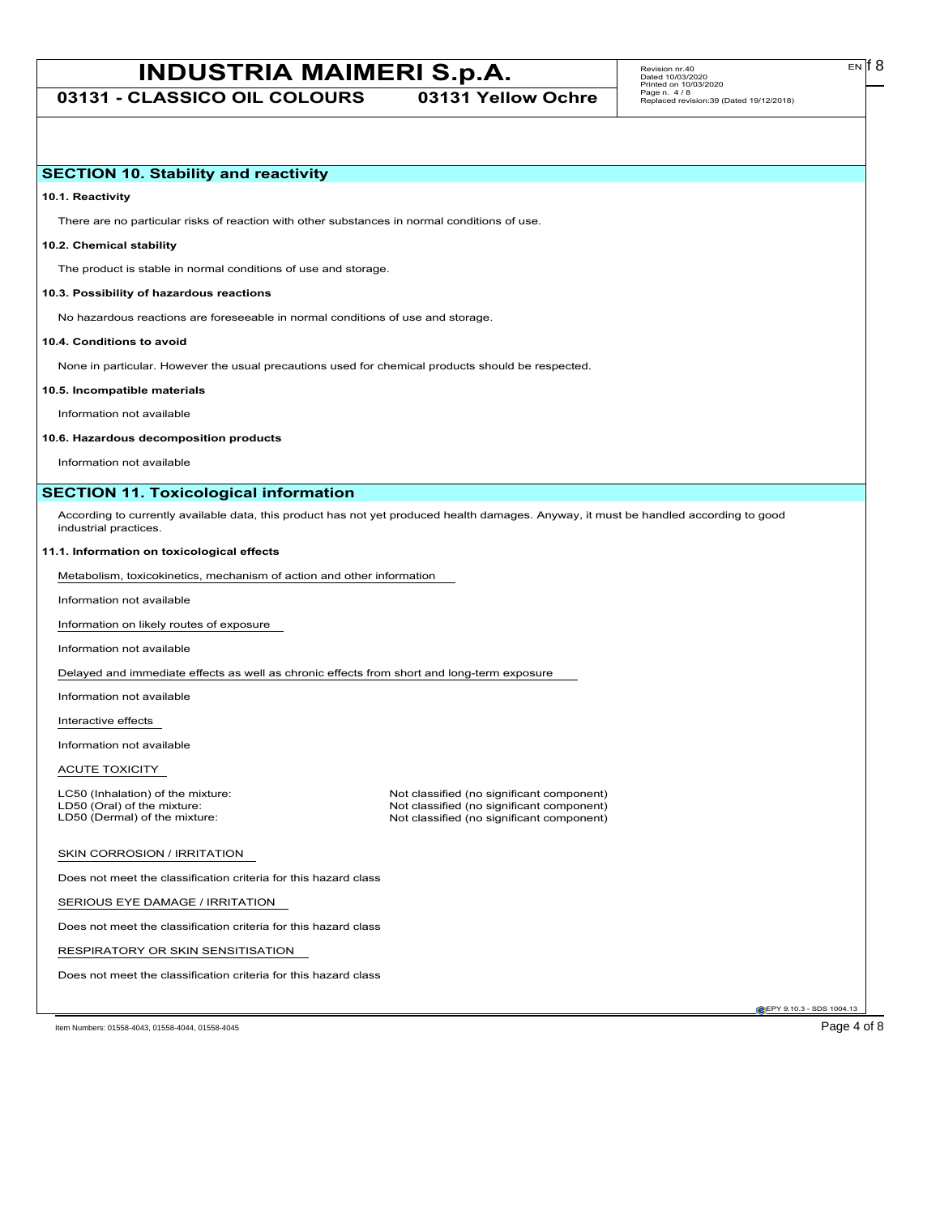**03131 - CLASSICO OIL COLOURS 03131 Yellow Ochre**

EN

# **SECTION 10. Stability and reactivity**

**10.1. Reactivity**

There are no particular risks of reaction with other substances in normal conditions of use.

# **10.2. Chemical stability**

The product is stable in normal conditions of use and storage.

#### **10.3. Possibility of hazardous reactions**

No hazardous reactions are foreseeable in normal conditions of use and storage.

#### **10.4. Conditions to avoid**

None in particular. However the usual precautions used for chemical products should be respected.

#### **10.5. Incompatible materials**

Information not available

#### **10.6. Hazardous decomposition products**

Information not available

# **SECTION 11. Toxicological information**

According to currently available data, this product has not yet produced health damages. Anyway, it must be handled according to good industrial practices.

#### **11.1. Information on toxicological effects**

Metabolism, toxicokinetics, mechanism of action and other information

Information not available

Information on likely routes of exposure

Information not available

Delayed and immediate effects as well as chronic effects from short and long-term exposure

Information not available

Interactive effects

Information not available

### ACUTE TOXICITY

LC50 (Inhalation) of the mixture: Not classified (no significant component)<br>
LD50 (Oral) of the mixture: Not classified (no significant component) LD50 (Oral) of the mixture: Not classified (no significant component)<br>
LD50 (Dermal) of the mixture: Not classified (no significant component) Not classified (no significant component)

#### SKIN CORROSION / IRRITATION

Does not meet the classification criteria for this hazard class

SERIOUS EYE DAMAGE / IRRITATION

Does not meet the classification criteria for this hazard class

RESPIRATORY OR SKIN SENSITISATION

Does not meet the classification criteria for this hazard class

EPY 9.10.3 - SDS 1004.13

Item Numbers: 01558-4043, 01558-4044, 01558-4045 Page 4 of 8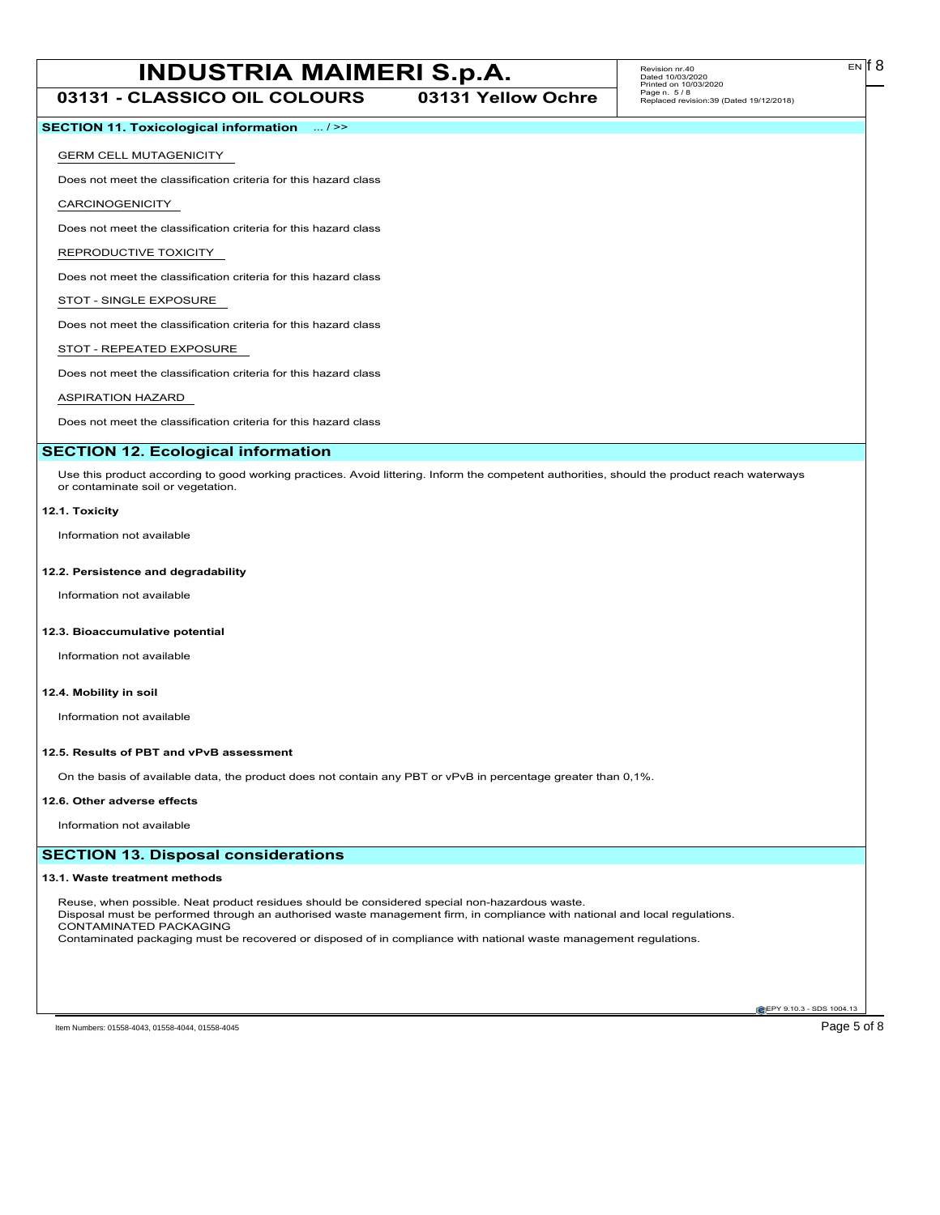# **INDUSTRIA MAIMERI S.p.A.** Revision m:40 **03131 - CLASSICO OIL COLOURS 03131 Yellow Ochre**

# **SECTION 11. Toxicological information** ... / >>

#### GERM CELL MUTAGENICITY

Does not meet the classification criteria for this hazard class

#### CARCINOGENICITY

Does not meet the classification criteria for this hazard class

#### REPRODUCTIVE TOXICITY

Does not meet the classification criteria for this hazard class

# STOT - SINGLE EXPOSURE

Does not meet the classification criteria for this hazard class

#### STOT - REPEATED EXPOSURE

Does not meet the classification criteria for this hazard class

#### ASPIRATION HAZARD

Does not meet the classification criteria for this hazard class

#### **SECTION 12. Ecological information**

Use this product according to good working practices. Avoid littering. Inform the competent authorities, should the product reach waterways or contaminate soil or vegetation.

#### **12.1. Toxicity**

Information not available

### **12.2. Persistence and degradability**

Information not available

#### **12.3. Bioaccumulative potential**

Information not available

### **12.4. Mobility in soil**

Information not available

#### **12.5. Results of PBT and vPvB assessment**

On the basis of available data, the product does not contain any PBT or vPvB in percentage greater than 0,1%.

#### **12.6. Other adverse effects**

Information not available

## **SECTION 13. Disposal considerations**

#### **13.1. Waste treatment methods**

Reuse, when possible. Neat product residues should be considered special non-hazardous waste. Disposal must be performed through an authorised waste management firm, in compliance with national and local regulations. CONTAMINATED PACKAGING Contaminated packaging must be recovered or disposed of in compliance with national waste management regulations.

**EPY 9.10.3 - SDS 1004.13**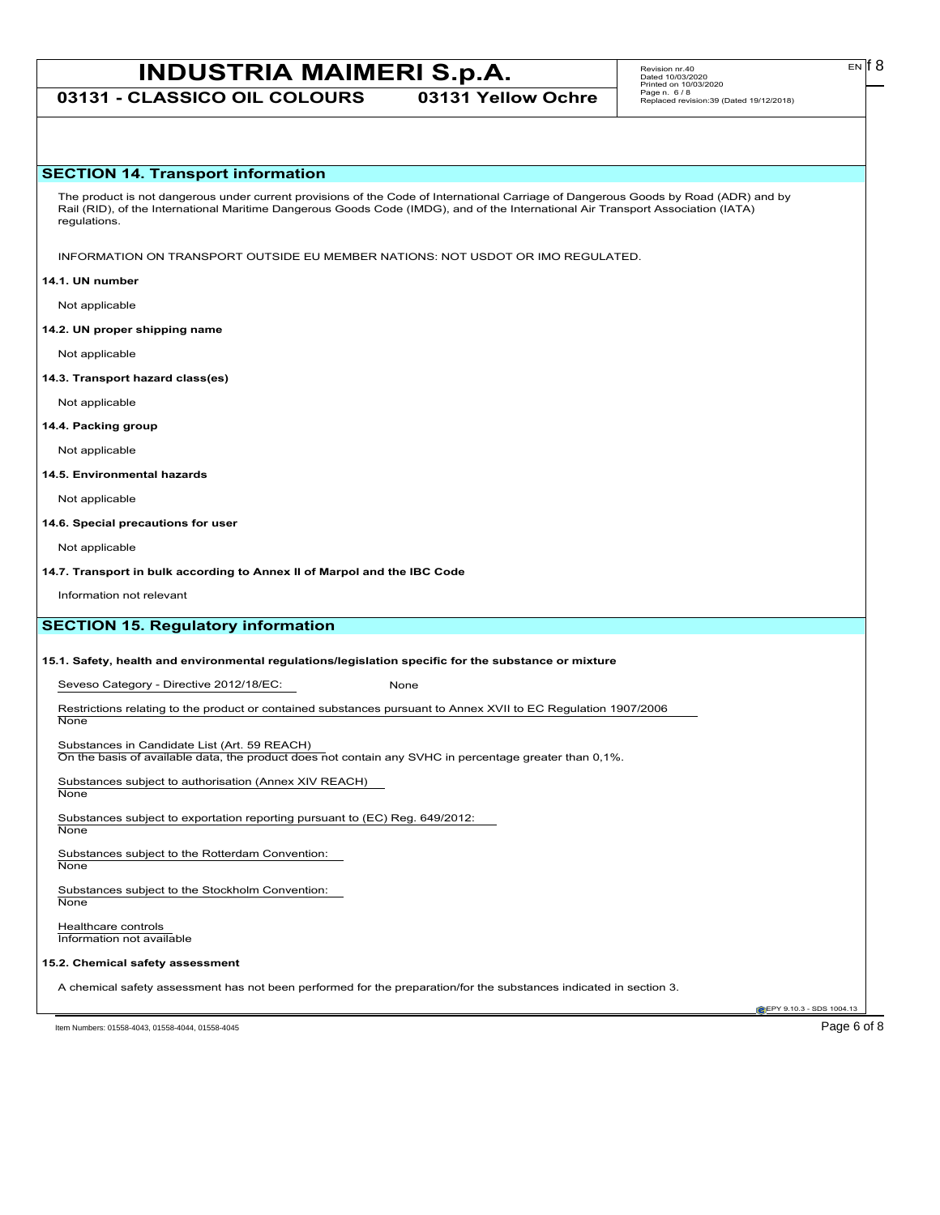**03131 - CLASSICO OIL COLOURS 03131 Yellow Ochre**

## **SECTION 14. Transport information**

The product is not dangerous under current provisions of the Code of International Carriage of Dangerous Goods by Road (ADR) and by Rail (RID), of the International Maritime Dangerous Goods Code (IMDG), and of the International Air Transport Association (IATA) regulations.

INFORMATION ON TRANSPORT OUTSIDE EU MEMBER NATIONS: NOT USDOT OR IMO REGULATED.

#### **14.1. UN number**

Not applicable

#### **14.2. UN proper shipping name**

Not applicable

#### **14.3. Transport hazard class(es)**

Not applicable

**14.4. Packing group**

Not applicable

#### **14.5. Environmental hazards**

Not applicable

#### **14.6. Special precautions for user**

Not applicable

**14.7. Transport in bulk according to Annex II of Marpol and the IBC Code**

Information not relevant

# **SECTION 15. Regulatory information**

### **15.1. Safety, health and environmental regulations/legislation specific for the substance or mixture**

Seveso Category - Directive 2012/18/EC: None

Restrictions relating to the product or contained substances pursuant to Annex XVII to EC Regulation 1907/2006 **None** 

Substances in Candidate List (Art. 59 REACH)

On the basis of available data, the product does not contain any SVHC in percentage greater than 0,1%.

Substances subject to authorisation (Annex XIV REACH)

**None** 

Substances subject to exportation reporting pursuant to (EC) Reg. 649/2012: None

Substances subject to the Rotterdam Convention:

**None** 

Substances subject to the Stockholm Convention: None

Healthcare controls Information not available

# **15.2. Chemical safety assessment**

A chemical safety assessment has not been performed for the preparation/for the substances indicated in section 3.

**EPY 9.10.3 - SDS 1004.13** 

Item Numbers: 01558-4043, 01558-4044, 01558-4045 Page 6 of 8

EN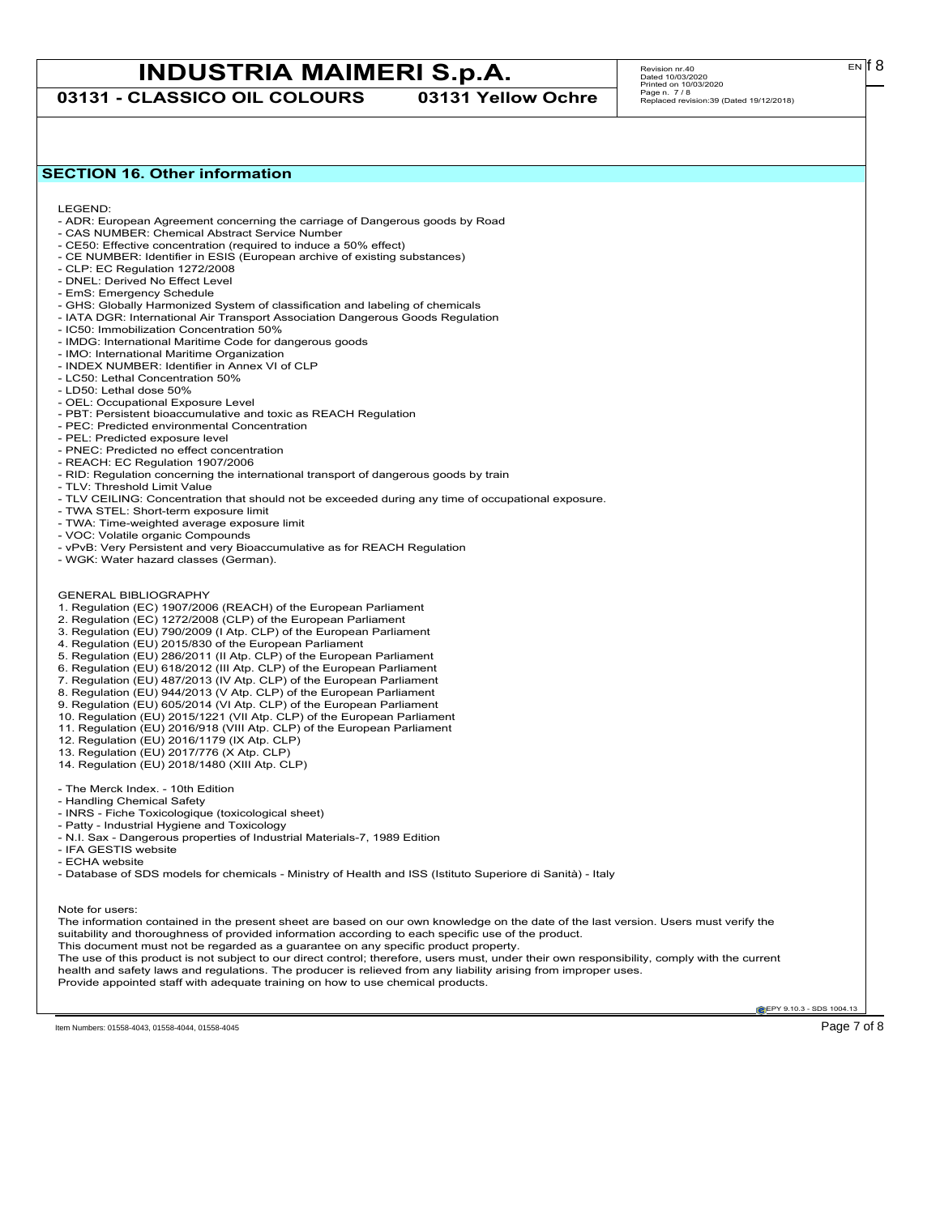**03131 - CLASSICO OIL COLOURS 03131 Yellow Ochre**

# Revision nr.40 Dated 10/03/2020 Printed on 10/03/2020 Page n. 7 / 8 Replaced revision:39 (Dated 19/12/2018)

# **SECTION 16. Other information**

LEGEND:

- ADR: European Agreement concerning the carriage of Dangerous goods by Road
- CAS NUMBER: Chemical Abstract Service Number - CE50: Effective concentration (required to induce a 50% effect)
- CE NUMBER: Identifier in ESIS (European archive of existing substances)
- CLP: EC Regulation 1272/2008
- DNEL: Derived No Effect Level
- EmS: Emergency Schedule
- GHS: Globally Harmonized System of classification and labeling of chemicals
- IATA DGR: International Air Transport Association Dangerous Goods Regulation
- IC50: Immobilization Concentration 50%
- IMDG: International Maritime Code for dangerous goods
- IMO: International Maritime Organization
- INDEX NUMBER: Identifier in Annex VI of CLP
- LC50: Lethal Concentration 50%
- LD50: Lethal dose 50%
- OEL: Occupational Exposure Level
- PBT: Persistent bioaccumulative and toxic as REACH Regulation
- PEC: Predicted environmental Concentration
- PEL: Predicted exposure level
- PNEC: Predicted no effect concentration
- REACH: EC Regulation 1907/2006
- RID: Regulation concerning the international transport of dangerous goods by train
- TLV: Threshold Limit Value
- TLV CEILING: Concentration that should not be exceeded during any time of occupational exposure.
- TWA STEL: Short-term exposure limit
- TWA: Time-weighted average exposure limit
- VOC: Volatile organic Compounds
- vPvB: Very Persistent and very Bioaccumulative as for REACH Regulation
- WGK: Water hazard classes (German).
- GENERAL BIBLIOGRAPHY
- 1. Regulation (EC) 1907/2006 (REACH) of the European Parliament
- 2. Regulation (EC) 1272/2008 (CLP) of the European Parliament
- 3. Regulation (EU) 790/2009 (I Atp. CLP) of the European Parliament
- 4. Regulation (EU) 2015/830 of the European Parliament
- 5. Regulation (EU) 286/2011 (II Atp. CLP) of the European Parliament
- 6. Regulation (EU) 618/2012 (III Atp. CLP) of the European Parliament
- 7. Regulation (EU) 487/2013 (IV Atp. CLP) of the European Parliament
- 8. Regulation (EU) 944/2013 (V Atp. CLP) of the European Parliament
- 9. Regulation (EU) 605/2014 (VI Atp. CLP) of the European Parliament
- 10. Regulation (EU) 2015/1221 (VII Atp. CLP) of the European Parliament
- 11. Regulation (EU) 2016/918 (VIII Atp. CLP) of the European Parliament
- 12. Regulation (EU) 2016/1179 (IX Atp. CLP)
- 13. Regulation (EU) 2017/776 (X Atp. CLP)
- 14. Regulation (EU) 2018/1480 (XIII Atp. CLP)
- The Merck Index. 10th Edition
- Handling Chemical Safety
- INRS Fiche Toxicologique (toxicological sheet)
- Patty Industrial Hygiene and Toxicology
- N.I. Sax Dangerous properties of Industrial Materials-7, 1989 Edition
- IFA GESTIS website
- ECHA website

- Database of SDS models for chemicals - Ministry of Health and ISS (Istituto Superiore di Sanità) - Italy

Note for users:

The information contained in the present sheet are based on our own knowledge on the date of the last version. Users must verify the suitability and thoroughness of provided information according to each specific use of the product. This document must not be regarded as a guarantee on any specific product property. The use of this product is not subject to our direct control; therefore, users must, under their own responsibility, comply with the current health and safety laws and regulations. The producer is relieved from any liability arising from improper uses.

Provide appointed staff with adequate training on how to use chemical products.

**EPY 9.10.3 - SDS 1004.13** 

 $E<sub>N</sub>$  18